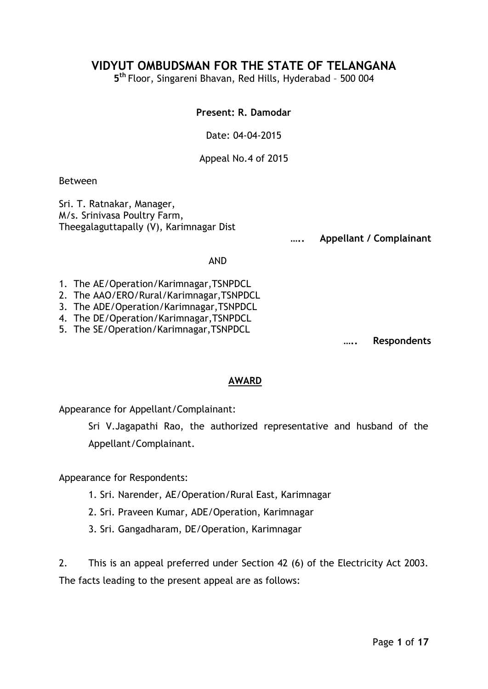# **VIDYUT OMBUDSMAN FOR THE STATE OF TELANGANA**

**5 th** Floor, Singareni Bhavan, Red Hills, Hyderabad – 500 004

### **Present: R. Damodar**

Date: 04-04-2015

Appeal No.4 of 2015

Between

Sri. T. Ratnakar, Manager, M/s. Srinivasa Poultry Farm, Theegalaguttapally (V), Karimnagar Dist

**….. Appellant / Complainant**

#### AND

- 1. The AE/Operation/Karimnagar,TSNPDCL
- 2. The AAO/ERO/Rural/Karimnagar,TSNPDCL
- 3. The ADE/Operation/Karimnagar,TSNPDCL
- 4. The DE/Operation/Karimnagar,TSNPDCL
- 5. The SE/Operation/Karimnagar,TSNPDCL

**….. Respondents**

### **AWARD**

Appearance for Appellant/Complainant:

Sri V.Jagapathi Rao, the authorized representative and husband of the Appellant/Complainant.

Appearance for Respondents:

- 1. Sri. Narender, AE/Operation/Rural East, Karimnagar
- 2. Sri. Praveen Kumar, ADE/Operation, Karimnagar
- 3. Sri. Gangadharam, DE/Operation, Karimnagar

2. This is an appeal preferred under Section 42 (6) of the Electricity Act 2003. The facts leading to the present appeal are as follows: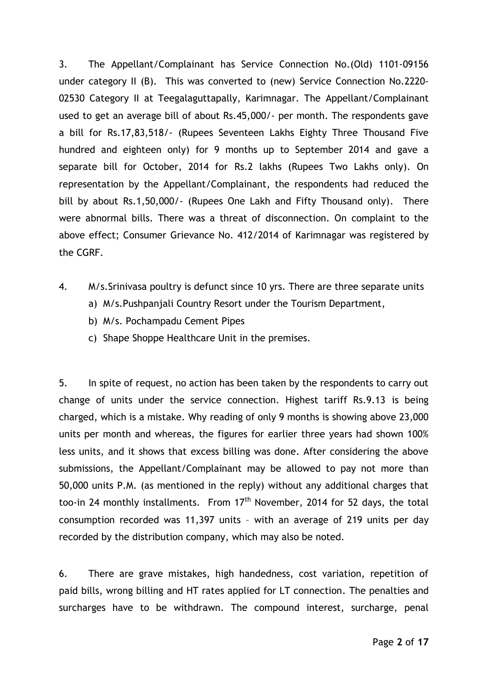3. The Appellant/Complainant has Service Connection No.(Old) 1101-09156 under category II (B). This was converted to (new) Service Connection No.2220- 02530 Category II at Teegalaguttapally, Karimnagar. The Appellant/Complainant used to get an average bill of about Rs.45,000/- per month. The respondents gave a bill for Rs.17,83,518/- (Rupees Seventeen Lakhs Eighty Three Thousand Five hundred and eighteen only) for 9 months up to September 2014 and gave a separate bill for October, 2014 for Rs.2 lakhs (Rupees Two Lakhs only). On representation by the Appellant/Complainant, the respondents had reduced the bill by about Rs.1,50,000/- (Rupees One Lakh and Fifty Thousand only). There were abnormal bills. There was a threat of disconnection. On complaint to the above effect; Consumer Grievance No. 412/2014 of Karimnagar was registered by the CGRF.

- 4. M/s.Srinivasa poultry is defunct since 10 yrs. There are three separate units
	- a) M/s.Pushpanjali Country Resort under the Tourism Department,
	- b) M/s. Pochampadu Cement Pipes
	- c) Shape Shoppe Healthcare Unit in the premises.

5. In spite of request, no action has been taken by the respondents to carry out change of units under the service connection. Highest tariff Rs.9.13 is being charged, which is a mistake. Why reading of only 9 months is showing above 23,000 units per month and whereas, the figures for earlier three years had shown 100% less units, and it shows that excess billing was done. After considering the above submissions, the Appellant/Complainant may be allowed to pay not more than 50,000 units P.M. (as mentioned in the reply) without any additional charges that too-in 24 monthly installments. From  $17<sup>th</sup>$  November, 2014 for 52 days, the total consumption recorded was 11,397 units – with an average of 219 units per day recorded by the distribution company, which may also be noted.

6. There are grave mistakes, high handedness, cost variation, repetition of paid bills, wrong billing and HT rates applied for LT connection. The penalties and surcharges have to be withdrawn. The compound interest, surcharge, penal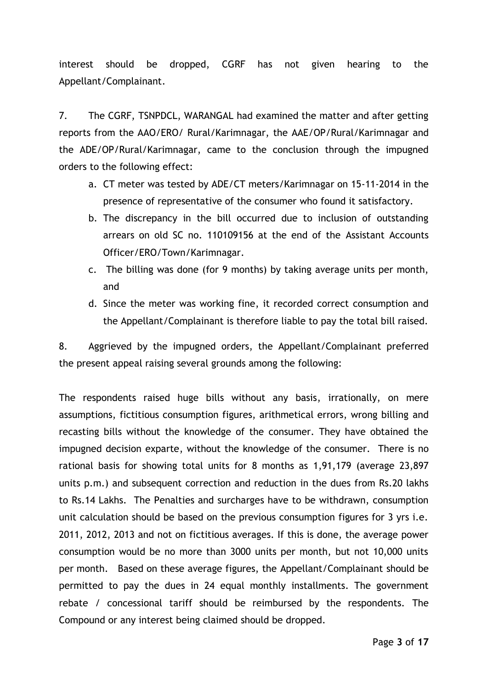interest should be dropped, CGRF has not given hearing to the Appellant/Complainant.

7. The CGRF, TSNPDCL, WARANGAL had examined the matter and after getting reports from the AAO/ERO/ Rural/Karimnagar, the AAE/OP/Rural/Karimnagar and the ADE/OP/Rural/Karimnagar, came to the conclusion through the impugned orders to the following effect:

- a. CT meter was tested by ADE/CT meters/Karimnagar on 15-11-2014 in the presence of representative of the consumer who found it satisfactory.
- b. The discrepancy in the bill occurred due to inclusion of outstanding arrears on old SC no. 110109156 at the end of the Assistant Accounts Officer/ERO/Town/Karimnagar.
- c. The billing was done (for 9 months) by taking average units per month, and
- d. Since the meter was working fine, it recorded correct consumption and the Appellant/Complainant is therefore liable to pay the total bill raised.

8. Aggrieved by the impugned orders, the Appellant/Complainant preferred the present appeal raising several grounds among the following:

The respondents raised huge bills without any basis, irrationally, on mere assumptions, fictitious consumption figures, arithmetical errors, wrong billing and recasting bills without the knowledge of the consumer. They have obtained the impugned decision exparte, without the knowledge of the consumer. There is no rational basis for showing total units for 8 months as 1,91,179 (average 23,897 units p.m.) and subsequent correction and reduction in the dues from Rs.20 lakhs to Rs.14 Lakhs. The Penalties and surcharges have to be withdrawn, consumption unit calculation should be based on the previous consumption figures for 3 yrs i.e. 2011, 2012, 2013 and not on fictitious averages. If this is done, the average power consumption would be no more than 3000 units per month, but not 10,000 units per month. Based on these average figures, the Appellant/Complainant should be permitted to pay the dues in 24 equal monthly installments. The government rebate / concessional tariff should be reimbursed by the respondents. The Compound or any interest being claimed should be dropped.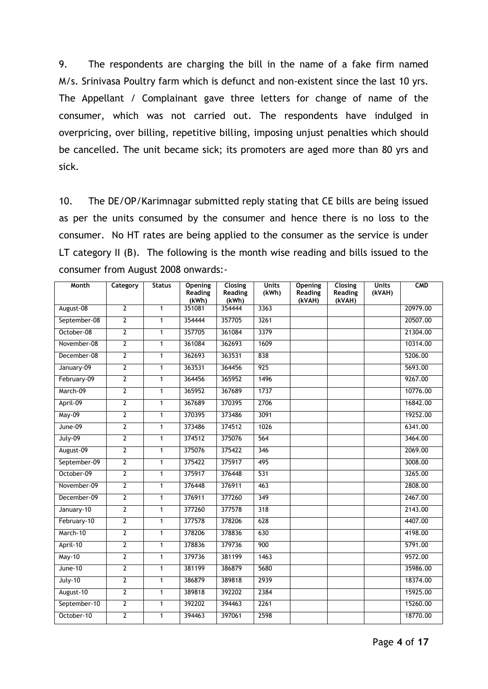9. The respondents are charging the bill in the name of a fake firm named M/s. Srinivasa Poultry farm which is defunct and non-existent since the last 10 yrs. The Appellant / Complainant gave three letters for change of name of the consumer, which was not carried out. The respondents have indulged in overpricing, over billing, repetitive billing, imposing unjust penalties which should be cancelled. The unit became sick; its promoters are aged more than 80 yrs and sick.

10. The DE/OP/Karimnagar submitted reply stating that CE bills are being issued as per the units consumed by the consumer and hence there is no loss to the consumer. No HT rates are being applied to the consumer as the service is under LT category II (B). The following is the month wise reading and bills issued to the consumer from August 2008 onwards:-

| <b>Month</b>  | Category       | <b>Status</b>  | Opening<br><b>Reading</b> | Closing<br>Reading | <b>Units</b><br>(kWh) | <b>Opening</b><br>Reading | Closing<br>Reading | <b>Units</b><br>(kVAH) | <b>CMD</b> |
|---------------|----------------|----------------|---------------------------|--------------------|-----------------------|---------------------------|--------------------|------------------------|------------|
|               |                |                | (kWh)                     | (kWh)              |                       | (kVAH)                    | (kVAH)             |                        |            |
| August-08     | $\overline{2}$ | $\mathbf{1}$   | 351081                    | 354444             | 3363                  |                           |                    |                        | 20979.00   |
| September-08  | $\overline{2}$ | $\overline{1}$ | 354444                    | 357705             | 3261                  |                           |                    |                        | 20507.00   |
| October-08    | $\overline{2}$ | $\mathbf{1}$   | 357705                    | 361084             | 3379                  |                           |                    |                        | 21304.00   |
| November-08   | $\overline{2}$ | $\mathbf{1}$   | 361084                    | 362693             | 1609                  |                           |                    |                        | 10314.00   |
| December-08   | $\overline{2}$ | $\mathbf{1}$   | 362693                    | 363531             | 838                   |                           |                    |                        | 5206.00    |
| January-09    | $\overline{2}$ | $\mathbf{1}$   | 363531                    | 364456             | 925                   |                           |                    |                        | 5693.00    |
| February-09   | $\overline{2}$ | $\mathbf{1}$   | 364456                    | 365952             | 1496                  |                           |                    |                        | 9267.00    |
| March-09      | $\overline{2}$ | $\mathbf{1}$   | 365952                    | 367689             | 1737                  |                           |                    |                        | 10776.00   |
| April-09      | $\overline{2}$ | $\mathbf{1}$   | 367689                    | 370395             | 2706                  |                           |                    |                        | 16842.00   |
| <b>May-09</b> | $\overline{2}$ | $\mathbf{1}$   | 370395                    | 373486             | 3091                  |                           |                    |                        | 19252.00   |
| June-09       | $\overline{2}$ | $\mathbf{1}$   | 373486                    | 374512             | 1026                  |                           |                    |                        | 6341.00    |
| $July-09$     | $\overline{2}$ | $\overline{1}$ | 374512                    | 375076             | 564                   |                           |                    |                        | 3464.00    |
| August-09     | $\overline{2}$ | $\mathbf{1}$   | 375076                    | 375422             | 346                   |                           |                    |                        | 2069.00    |
| September-09  | $\overline{2}$ | $\mathbf{1}$   | 375422                    | 375917             | 495                   |                           |                    |                        | 3008.00    |
| October-09    | $\overline{2}$ | $\mathbf{1}$   | 375917                    | 376448             | 531                   |                           |                    |                        | 3265.00    |
| November-09   | $\overline{2}$ | $\overline{1}$ | 376448                    | 376911             | 463                   |                           |                    |                        | 2808.00    |
| December-09   | $\overline{2}$ | $\mathbf{1}$   | 376911                    | 377260             | 349                   |                           |                    |                        | 2467.00    |
| January-10    | $\overline{2}$ | $\overline{1}$ | 377260                    | 377578             | 318                   |                           |                    |                        | 2143.00    |
| February-10   | $\overline{2}$ | $\mathbf{1}$   | 377578                    | 378206             | 628                   |                           |                    |                        | 4407.00    |
| March-10      | $\overline{2}$ | $\mathbf{1}$   | 378206                    | 378836             | 630                   |                           |                    |                        | 4198.00    |
| April-10      | $\overline{2}$ | $\mathbf{1}$   | 378836                    | 379736             | 900                   |                           |                    |                        | 5791.00    |
| <b>May-10</b> | $\overline{2}$ | $\mathbf{1}$   | 379736                    | 381199             | 1463                  |                           |                    |                        | 9572.00    |
| June-10       | $\overline{2}$ | $\mathbf{1}$   | 381199                    | 386879             | 5680                  |                           |                    |                        | 35986.00   |
| $July-10$     | $\overline{2}$ | $\mathbf{1}$   | 386879                    | 389818             | 2939                  |                           |                    |                        | 18374.00   |
| August-10     | $\overline{2}$ | $\mathbf{1}$   | 389818                    | 392202             | 2384                  |                           |                    |                        | 15925.00   |
| September-10  | $\overline{2}$ | $\mathbf{1}$   | 392202                    | 394463             | 2261                  |                           |                    |                        | 15260.00   |
| October-10    | $\overline{2}$ | $\mathbf{1}$   | 394463                    | 397061             | 2598                  |                           |                    |                        | 18770.00   |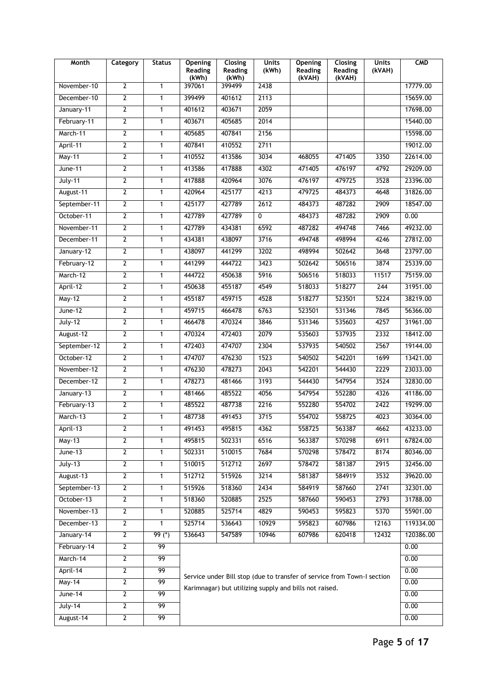| <b>Month</b>   | Category       | <b>Status</b>   | <b>Opening</b><br><b>Reading</b><br>(kWh)                               | <b>Closing</b><br><b>Reading</b><br>(kWh) | <b>Units</b><br>(kWh) | <b>Opening</b><br>Reading<br>(kVAH) | <b>Closing</b><br><b>Reading</b><br>(kVAH) | <b>Units</b><br>(kVAH) | <b>CMD</b> |
|----------------|----------------|-----------------|-------------------------------------------------------------------------|-------------------------------------------|-----------------------|-------------------------------------|--------------------------------------------|------------------------|------------|
| November-10    | $\overline{2}$ | $\mathbf{1}$    | 397061                                                                  | 399499                                    | 2438                  |                                     |                                            |                        | 17779.00   |
| December-10    | $\overline{2}$ | $\mathbf{1}$    | 399499                                                                  | 401612                                    | 2113                  |                                     |                                            |                        | 15659.00   |
| January-11     | $\overline{2}$ | $\mathbf{1}$    | 401612                                                                  | 403671                                    | 2059                  |                                     |                                            |                        | 17698.00   |
| February-11    | $\overline{2}$ | $\mathbf{1}$    | 403671                                                                  | 405685                                    | 2014                  |                                     |                                            |                        | 15440.00   |
| March-11       | $\overline{2}$ | $\mathbf{1}$    | 405685                                                                  | 407841                                    | 2156                  |                                     |                                            |                        | 15598.00   |
| April-11       | $\overline{2}$ | $\mathbf{1}$    | 407841                                                                  | 410552                                    | 2711                  |                                     |                                            |                        | 19012.00   |
| May-11         | $\overline{2}$ | $\mathbf{1}$    | 410552                                                                  | 413586                                    | 3034                  | 468055                              | 471405                                     | 3350                   | 22614.00   |
| June-11        | $\overline{2}$ | $\mathbf{1}$    | 413586                                                                  | 417888                                    | 4302                  | 471405                              | 476197                                     | 4792                   | 29209.00   |
| <b>July-11</b> | $\overline{2}$ | $\mathbf{1}$    | 417888                                                                  | 420964                                    | 3076                  | 476197                              | 479725                                     | 3528                   | 23396.00   |
| August-11      | $\overline{2}$ | $\mathbf{1}$    | 420964                                                                  | 425177                                    | 4213                  | 479725                              | 484373                                     | 4648                   | 31826.00   |
| September-11   | $\overline{2}$ | $\mathbf{1}$    | 425177                                                                  | 427789                                    | 2612                  | 484373                              | 487282                                     | 2909                   | 18547.00   |
| October-11     | $\overline{2}$ | 1               | 427789                                                                  | 427789                                    | 0                     | 484373                              | 487282                                     | 2909                   | 0.00       |
| November-11    | $\overline{2}$ | $\overline{1}$  | 427789                                                                  | 434381                                    | 6592                  | 487282                              | 494748                                     | 7466                   | 49232.00   |
| December-11    | $\overline{2}$ | $\mathbf{1}$    | 434381                                                                  | 438097                                    | 3716                  | 494748                              | 498994                                     | 4246                   | 27812.00   |
| January-12     | $\overline{2}$ | $\mathbf{1}$    | 438097                                                                  | 441299                                    | 3202                  | 498994                              | 502642                                     | 3648                   | 23797.00   |
| February-12    | $\overline{2}$ | $\mathbf{1}$    | 441299                                                                  | 444722                                    | 3423                  | 502642                              | 506516                                     | 3874                   | 25339.00   |
| March-12       | $\overline{2}$ | 1               | 444722                                                                  | 450638                                    | 5916                  | 506516                              | 518033                                     | 11517                  | 75159.00   |
| April-12       | $\overline{2}$ | $\mathbf{1}$    | 450638                                                                  | 455187                                    | 4549                  | 518033                              | 518277                                     | 244                    | 31951.00   |
| May-12         | $\overline{2}$ | $\mathbf{1}$    | 455187                                                                  | 459715                                    | 4528                  | 518277                              | 523501                                     | 5224                   | 38219.00   |
| $June-12$      | $\overline{2}$ | $\mathbf{1}$    | 459715                                                                  | 466478                                    | 6763                  | 523501                              | 531346                                     | 7845                   | 56366.00   |
| $July-12$      | $\overline{2}$ | $\mathbf{1}$    | 466478                                                                  | 470324                                    | 3846                  | 531346                              | 535603                                     | 4257                   | 31961.00   |
| August-12      | $\overline{2}$ | 1               | 470324                                                                  | 472403                                    | 2079                  | 535603                              | 537935                                     | 2332                   | 18412.00   |
| September-12   | $\overline{2}$ | 1               | 472403                                                                  | 474707                                    | 2304                  | 537935                              | 540502                                     | 2567                   | 19144.00   |
| October-12     | $\overline{2}$ | $\mathbf{1}$    | 474707                                                                  | 476230                                    | 1523                  | 540502                              | 542201                                     | 1699                   | 13421.00   |
| November-12    | $\overline{2}$ | $\mathbf{1}$    | 476230                                                                  | 478273                                    | 2043                  | 542201                              | 544430                                     | 2229                   | 23033.00   |
| December-12    | $\overline{2}$ | $\mathbf{1}$    | 478273                                                                  | 481466                                    | 3193                  | 544430                              | 547954                                     | 3524                   | 32830.00   |
| January-13     | $\overline{2}$ | 1               | 481466                                                                  | 485522                                    | 4056                  | 547954                              | 552280                                     | 4326                   | 41186.00   |
| February-13    | $\overline{2}$ | 1               | 485522                                                                  | 487738                                    | 2216                  | 552280                              | 554702                                     | 2422                   | 19299.00   |
| March-13       | $\overline{2}$ | $\mathbf{1}$    | 487738                                                                  | 491453                                    | 3715                  | 554702                              | 558725                                     | 4023                   | 30364.00   |
| April-13       | $\overline{2}$ | 1               | 491453                                                                  | 495815                                    | 4362                  | 558725                              | 563387                                     | 4662                   | 43233.00   |
| <b>May-13</b>  | $\overline{2}$ | 1               | 495815                                                                  | 502331                                    | 6516                  | 563387                              | 570298                                     | 6911                   | 67824.00   |
| $June-13$      | $\overline{2}$ | $\mathbf{1}$    | 502331                                                                  | 510015                                    | 7684                  | 570298                              | 578472                                     | 8174                   | 80346.00   |
| $July-13$      | $\overline{2}$ | 1               | 510015                                                                  | 512712                                    | 2697                  | 578472                              | 581387                                     | 2915                   | 32456.00   |
| August-13      | $\mathbf{2}$   | 1               | 512712                                                                  | 515926                                    | 3214                  | 581387                              | 584919                                     | 3532                   | 39620.00   |
| September-13   | $\overline{2}$ | $\mathbf{1}$    | 515926                                                                  | 518360                                    | 2434                  | 584919                              | 587660                                     | 2741                   | 32301.00   |
| October-13     | $\overline{2}$ | $\mathbf{1}$    | 518360                                                                  | 520885                                    | 2525                  | 587660                              | 590453                                     | 2793                   | 31788.00   |
| November-13    | $\mathbf{2}$   | 1               | 520885                                                                  | 525714                                    | 4829                  | 590453                              | 595823                                     | 5370                   | 55901.00   |
| December-13    | $\overline{2}$ | $\mathbf{1}$    | 525714                                                                  | 536643                                    | 10929                 | 595823                              | 607986                                     | 12163                  | 119334.00  |
| January-14     | $\overline{2}$ | $99 (*)$        | 536643                                                                  | 547589                                    | 10946                 | 607986                              | 620418                                     | 12432                  | 120386.00  |
| February-14    | $\overline{2}$ | 99              |                                                                         |                                           |                       |                                     |                                            |                        | 0.00       |
| March-14       | $\overline{2}$ | 99              |                                                                         |                                           | 0.00                  |                                     |                                            |                        |            |
| April-14       | $\overline{2}$ | 99              | Service under Bill stop (due to transfer of service from Town-I section | 0.00                                      |                       |                                     |                                            |                        |            |
| <b>May-14</b>  | $\overline{2}$ | 99              | Karimnagar) but utilizing supply and bills not raised.                  |                                           | 0.00                  |                                     |                                            |                        |            |
| June-14        | $\overline{2}$ | 99              |                                                                         |                                           |                       |                                     |                                            |                        | 0.00       |
| July-14        | $\overline{2}$ | 99              |                                                                         |                                           |                       |                                     |                                            |                        | 0.00       |
| August-14      | $\overline{2}$ | $\overline{99}$ |                                                                         |                                           |                       |                                     |                                            |                        | 0.00       |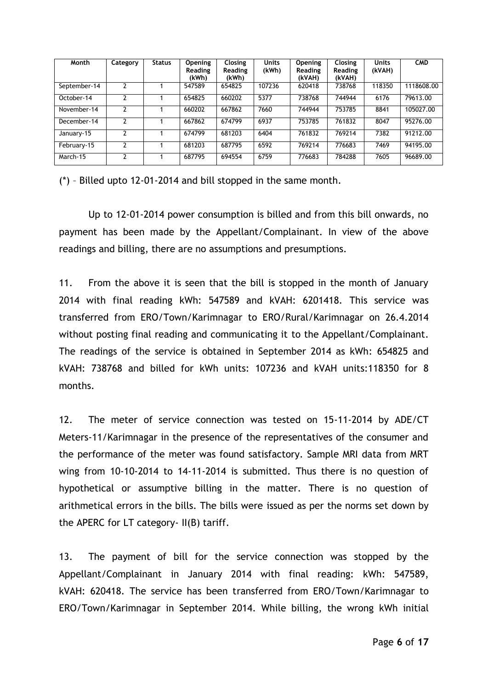| Month        | Category | <b>Status</b> | <b>Opening</b><br><b>Reading</b><br>(kWh) | <b>Closing</b><br><b>Reading</b><br>(kWh) | <b>Units</b><br>(kWh) | <b>Opening</b><br>Reading<br>(kVAH) | <b>Closing</b><br><b>Reading</b><br>(kVAH) | <b>Units</b><br>(kVAH) | <b>CMD</b> |
|--------------|----------|---------------|-------------------------------------------|-------------------------------------------|-----------------------|-------------------------------------|--------------------------------------------|------------------------|------------|
| September-14 |          |               | 547589                                    | 654825                                    | 107236                | 620418                              | 738768                                     | 118350                 | 1118608.00 |
| October-14   |          |               | 654825                                    | 660202                                    | 5377                  | 738768                              | 744944                                     | 6176                   | 79613.00   |
| November-14  | 7        |               | 660202                                    | 667862                                    | 7660                  | 744944                              | 753785                                     | 8841                   | 105027.00  |
| December-14  |          |               | 667862                                    | 674799                                    | 6937                  | 753785                              | 761832                                     | 8047                   | 95276.00   |
| January-15   |          |               | 674799                                    | 681203                                    | 6404                  | 761832                              | 769214                                     | 7382                   | 91212.00   |
| February-15  |          |               | 681203                                    | 687795                                    | 6592                  | 769214                              | 776683                                     | 7469                   | 94195.00   |
| March-15     | າ        |               | 687795                                    | 694554                                    | 6759                  | 776683                              | 784288                                     | 7605                   | 96689.00   |

(\*) – Billed upto 12-01-2014 and bill stopped in the same month.

Up to 12-01-2014 power consumption is billed and from this bill onwards, no payment has been made by the Appellant/Complainant. In view of the above readings and billing, there are no assumptions and presumptions.

11. From the above it is seen that the bill is stopped in the month of January 2014 with final reading kWh: 547589 and kVAH: 6201418. This service was transferred from ERO/Town/Karimnagar to ERO/Rural/Karimnagar on 26.4.2014 without posting final reading and communicating it to the Appellant/Complainant. The readings of the service is obtained in September 2014 as kWh: 654825 and kVAH: 738768 and billed for kWh units: 107236 and kVAH units:118350 for 8 months.

12. The meter of service connection was tested on 15-11-2014 by ADE/CT Meters-11/Karimnagar in the presence of the representatives of the consumer and the performance of the meter was found satisfactory. Sample MRI data from MRT wing from 10-10-2014 to 14-11-2014 is submitted. Thus there is no question of hypothetical or assumptive billing in the matter. There is no question of arithmetical errors in the bills. The bills were issued as per the norms set down by the APERC for LT category- II(B) tariff.

13. The payment of bill for the service connection was stopped by the Appellant/Complainant in January 2014 with final reading: kWh: 547589, kVAH: 620418. The service has been transferred from ERO/Town/Karimnagar to ERO/Town/Karimnagar in September 2014. While billing, the wrong kWh initial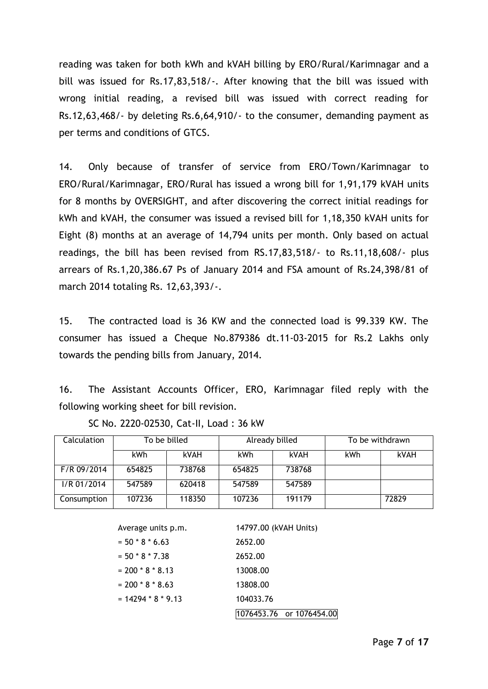reading was taken for both kWh and kVAH billing by ERO/Rural/Karimnagar and a bill was issued for Rs.17,83,518/-. After knowing that the bill was issued with wrong initial reading, a revised bill was issued with correct reading for Rs.12,63,468/- by deleting Rs.6,64,910/- to the consumer, demanding payment as per terms and conditions of GTCS.

14. Only because of transfer of service from ERO/Town/Karimnagar to ERO/Rural/Karimnagar, ERO/Rural has issued a wrong bill for 1,91,179 kVAH units for 8 months by OVERSIGHT, and after discovering the correct initial readings for kWh and kVAH, the consumer was issued a revised bill for 1,18,350 kVAH units for Eight (8) months at an average of 14,794 units per month. Only based on actual readings, the bill has been revised from RS.17,83,518/- to Rs.11,18,608/- plus arrears of Rs.1,20,386.67 Ps of January 2014 and FSA amount of Rs.24,398/81 of march 2014 totaling Rs. 12,63,393/-.

15. The contracted load is 36 KW and the connected load is 99.339 KW. The consumer has issued a Cheque No.879386 dt.11-03-2015 for Rs.2 Lakhs only towards the pending bills from January, 2014.

16. The Assistant Accounts Officer, ERO, Karimnagar filed reply with the following working sheet for bill revision.

| <b>Calculation</b> | To be billed |        | Already billed |             | To be withdrawn |             |  |
|--------------------|--------------|--------|----------------|-------------|-----------------|-------------|--|
|                    | kWh          | kVAH   | kWh            | <b>kVAH</b> | kWh             | <b>kVAH</b> |  |
| F/R 09/2014        | 654825       | 738768 | 654825         | 738768      |                 |             |  |
| $I/R$ 01/2014      | 547589       | 620418 | 547589         | 547589      |                 |             |  |
| Consumption        | 107236       | 118350 | 107236         | 191179      |                 | 72829       |  |

SC No. 2220-02530, Cat-II, Load : 36 kW

| Average units p.m.   | 14797.00 (kVAH Units)    |
|----------------------|--------------------------|
| $= 50 * 8 * 6.63$    | 2652.00                  |
| $= 50 * 8 * 7.38$    | 2652.00                  |
| $= 200 * 8 * 8.13$   | 13008.00                 |
| $= 200 * 8 * 8.63$   | 13808.00                 |
| $= 14294 * 8 * 9.13$ | 104033.76                |
|                      | 1076453.76 or 1076454.00 |
|                      |                          |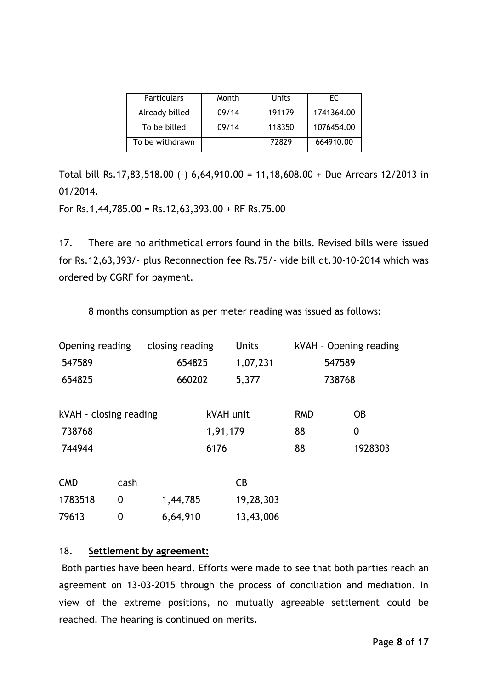| Particulars     | Month | <b>Units</b> | EC.        |  |
|-----------------|-------|--------------|------------|--|
| Already billed  | 09/14 | 191179       | 1741364.00 |  |
| To be billed    | 09/14 | 118350       | 1076454.00 |  |
| To be withdrawn |       | 72829        | 664910.00  |  |

Total bill Rs.17,83,518.00 (-) 6,64,910.00 = 11,18,608.00 + Due Arrears 12/2013 in 01/2014.

For Rs.1,44,785.00 = Rs.12,63,393.00 + RF Rs.75.00

17. There are no arithmetical errors found in the bills. Revised bills were issued for Rs.12,63,393/- plus Reconnection fee Rs.75/- vide bill dt.30-10-2014 which was ordered by CGRF for payment.

8 months consumption as per meter reading was issued as follows:

| Opening reading<br>closing reading |      | <b>Units</b> |          | kVAH - Opening reading |        |           |   |
|------------------------------------|------|--------------|----------|------------------------|--------|-----------|---|
| 547589<br>654825                   |      |              | 1,07,231 | 547589                 |        |           |   |
| 654825                             |      | 660202       |          | 5,377                  | 738768 |           |   |
|                                    |      |              |          |                        |        |           |   |
| kVAH - closing reading             |      | kVAH unit    |          | <b>RMD</b>             |        | <b>OB</b> |   |
| 738768                             |      |              | 1,91,179 |                        | 88     |           | 0 |
| 744944                             |      | 6176         |          | 88                     |        | 1928303   |   |
|                                    |      |              |          |                        |        |           |   |
| <b>CMD</b>                         | cash |              |          | CB                     |        |           |   |
| 1783518                            | 0    | 1,44,785     |          | 19,28,303              |        |           |   |
| 79613                              | 0    | 6,64,910     |          | 13,43,006              |        |           |   |

# 18. **Settlement by agreement:**

Both parties have been heard. Efforts were made to see that both parties reach an agreement on 13-03-2015 through the process of conciliation and mediation. In view of the extreme positions, no mutually agreeable settlement could be reached. The hearing is continued on merits.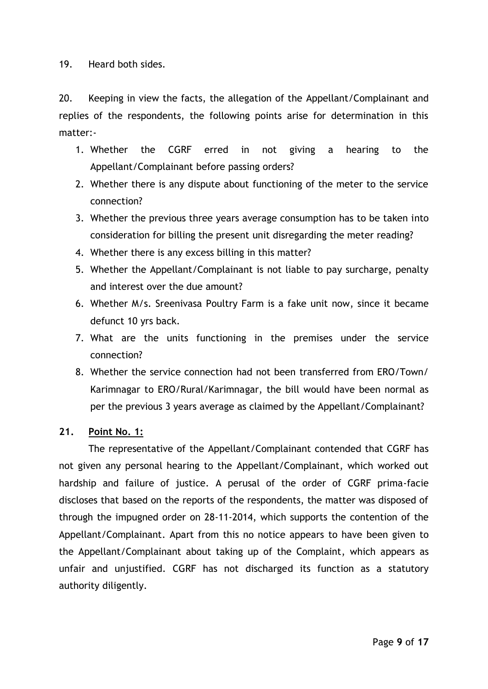19. Heard both sides.

20. Keeping in view the facts, the allegation of the Appellant/Complainant and replies of the respondents, the following points arise for determination in this matter:-

- 1. Whether the CGRF erred in not giving a hearing to the Appellant/Complainant before passing orders?
- 2. Whether there is any dispute about functioning of the meter to the service connection?
- 3. Whether the previous three years average consumption has to be taken into consideration for billing the present unit disregarding the meter reading?
- 4. Whether there is any excess billing in this matter?
- 5. Whether the Appellant/Complainant is not liable to pay surcharge, penalty and interest over the due amount?
- 6. Whether M/s. Sreenivasa Poultry Farm is a fake unit now, since it became defunct 10 yrs back.
- 7. What are the units functioning in the premises under the service connection?
- 8. Whether the service connection had not been transferred from ERO/Town/ Karimnagar to ERO/Rural/Karimnagar, the bill would have been normal as per the previous 3 years average as claimed by the Appellant/Complainant?

# **21. Point No. 1:**

The representative of the Appellant/Complainant contended that CGRF has not given any personal hearing to the Appellant/Complainant, which worked out hardship and failure of justice. A perusal of the order of CGRF prima-facie discloses that based on the reports of the respondents, the matter was disposed of through the impugned order on 28-11-2014, which supports the contention of the Appellant/Complainant. Apart from this no notice appears to have been given to the Appellant/Complainant about taking up of the Complaint, which appears as unfair and unjustified. CGRF has not discharged its function as a statutory authority diligently.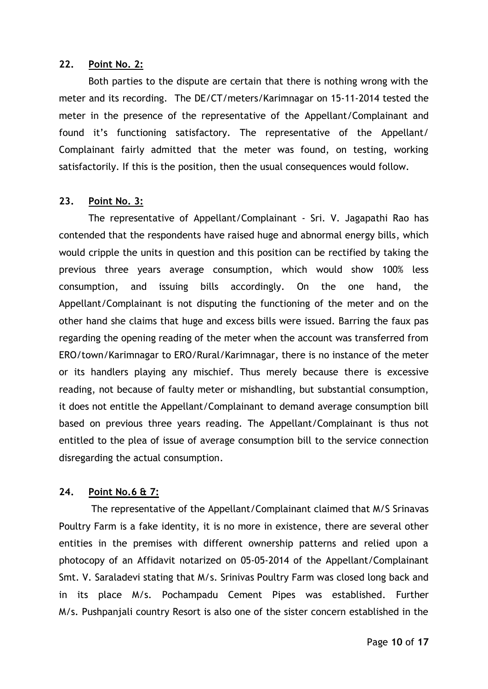#### **22. Point No. 2:**

Both parties to the dispute are certain that there is nothing wrong with the meter and its recording. The DE/CT/meters/Karimnagar on 15-11-2014 tested the meter in the presence of the representative of the Appellant/Complainant and found it's functioning satisfactory. The representative of the Appellant/ Complainant fairly admitted that the meter was found, on testing, working satisfactorily. If this is the position, then the usual consequences would follow.

## **23. Point No. 3:**

The representative of Appellant/Complainant - Sri. V. Jagapathi Rao has contended that the respondents have raised huge and abnormal energy bills, which would cripple the units in question and this position can be rectified by taking the previous three years average consumption, which would show 100% less consumption, and issuing bills accordingly. On the one hand, the Appellant/Complainant is not disputing the functioning of the meter and on the other hand she claims that huge and excess bills were issued. Barring the faux pas regarding the opening reading of the meter when the account was transferred from ERO/town/Karimnagar to ERO/Rural/Karimnagar, there is no instance of the meter or its handlers playing any mischief. Thus merely because there is excessive reading, not because of faulty meter or mishandling, but substantial consumption, it does not entitle the Appellant/Complainant to demand average consumption bill based on previous three years reading. The Appellant/Complainant is thus not entitled to the plea of issue of average consumption bill to the service connection disregarding the actual consumption.

# **24. Point No.6 & 7:**

The representative of the Appellant/Complainant claimed that M/S Srinavas Poultry Farm is a fake identity, it is no more in existence, there are several other entities in the premises with different ownership patterns and relied upon a photocopy of an Affidavit notarized on 05-05-2014 of the Appellant/Complainant Smt. V. Saraladevi stating that M/s. Srinivas Poultry Farm was closed long back and in its place M/s. Pochampadu Cement Pipes was established. Further M/s. Pushpanjali country Resort is also one of the sister concern established in the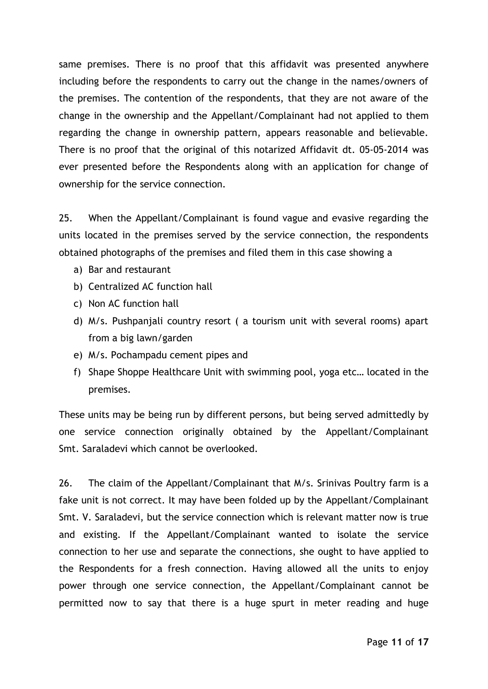same premises. There is no proof that this affidavit was presented anywhere including before the respondents to carry out the change in the names/owners of the premises. The contention of the respondents, that they are not aware of the change in the ownership and the Appellant/Complainant had not applied to them regarding the change in ownership pattern, appears reasonable and believable. There is no proof that the original of this notarized Affidavit dt. 05-05-2014 was ever presented before the Respondents along with an application for change of ownership for the service connection.

25. When the Appellant/Complainant is found vague and evasive regarding the units located in the premises served by the service connection, the respondents obtained photographs of the premises and filed them in this case showing a

- a) Bar and restaurant
- b) Centralized AC function hall
- c) Non AC function hall
- d) M/s. Pushpanjali country resort ( a tourism unit with several rooms) apart from a big lawn/garden
- e) M/s. Pochampadu cement pipes and
- f) Shape Shoppe Healthcare Unit with swimming pool, yoga etc… located in the premises.

These units may be being run by different persons, but being served admittedly by one service connection originally obtained by the Appellant/Complainant Smt. Saraladevi which cannot be overlooked.

26. The claim of the Appellant/Complainant that M/s. Srinivas Poultry farm is a fake unit is not correct. It may have been folded up by the Appellant/Complainant Smt. V. Saraladevi, but the service connection which is relevant matter now is true and existing. If the Appellant/Complainant wanted to isolate the service connection to her use and separate the connections, she ought to have applied to the Respondents for a fresh connection. Having allowed all the units to enjoy power through one service connection, the Appellant/Complainant cannot be permitted now to say that there is a huge spurt in meter reading and huge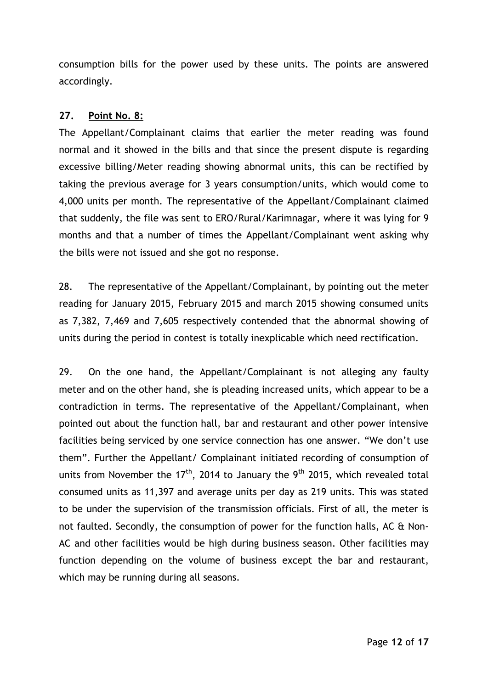consumption bills for the power used by these units. The points are answered accordingly.

# **27. Point No. 8:**

The Appellant/Complainant claims that earlier the meter reading was found normal and it showed in the bills and that since the present dispute is regarding excessive billing/Meter reading showing abnormal units, this can be rectified by taking the previous average for 3 years consumption/units, which would come to 4,000 units per month. The representative of the Appellant/Complainant claimed that suddenly, the file was sent to ERO/Rural/Karimnagar, where it was lying for 9 months and that a number of times the Appellant/Complainant went asking why the bills were not issued and she got no response.

28. The representative of the Appellant/Complainant, by pointing out the meter reading for January 2015, February 2015 and march 2015 showing consumed units as 7,382, 7,469 and 7,605 respectively contended that the abnormal showing of units during the period in contest is totally inexplicable which need rectification.

29. On the one hand, the Appellant/Complainant is not alleging any faulty meter and on the other hand, she is pleading increased units, which appear to be a contradiction in terms. The representative of the Appellant/Complainant, when pointed out about the function hall, bar and restaurant and other power intensive facilities being serviced by one service connection has one answer. "We don't use them". Further the Appellant/ Complainant initiated recording of consumption of units from November the 17<sup>th</sup>, 2014 to January the 9<sup>th</sup> 2015, which revealed total consumed units as 11,397 and average units per day as 219 units. This was stated to be under the supervision of the transmission officials. First of all, the meter is not faulted. Secondly, the consumption of power for the function halls, AC & Non-AC and other facilities would be high during business season. Other facilities may function depending on the volume of business except the bar and restaurant, which may be running during all seasons.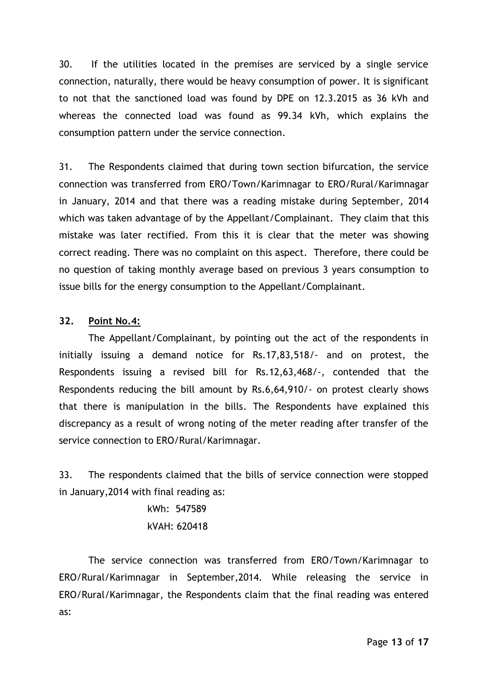30. If the utilities located in the premises are serviced by a single service connection, naturally, there would be heavy consumption of power. It is significant to not that the sanctioned load was found by DPE on 12.3.2015 as 36 kVh and whereas the connected load was found as 99.34 kVh, which explains the consumption pattern under the service connection.

31. The Respondents claimed that during town section bifurcation, the service connection was transferred from ERO/Town/Karimnagar to ERO/Rural/Karimnagar in January, 2014 and that there was a reading mistake during September, 2014 which was taken advantage of by the Appellant/Complainant. They claim that this mistake was later rectified. From this it is clear that the meter was showing correct reading. There was no complaint on this aspect. Therefore, there could be no question of taking monthly average based on previous 3 years consumption to issue bills for the energy consumption to the Appellant/Complainant.

# **32. Point No.4:**

The Appellant/Complainant, by pointing out the act of the respondents in initially issuing a demand notice for Rs.17,83,518/- and on protest, the Respondents issuing a revised bill for Rs.12,63,468/-, contended that the Respondents reducing the bill amount by Rs.6,64,910/- on protest clearly shows that there is manipulation in the bills. The Respondents have explained this discrepancy as a result of wrong noting of the meter reading after transfer of the service connection to ERO/Rural/Karimnagar.

33. The respondents claimed that the bills of service connection were stopped in January,2014 with final reading as:

> kWh: 547589 kVAH: 620418

The service connection was transferred from ERO/Town/Karimnagar to ERO/Rural/Karimnagar in September,2014. While releasing the service in ERO/Rural/Karimnagar, the Respondents claim that the final reading was entered as: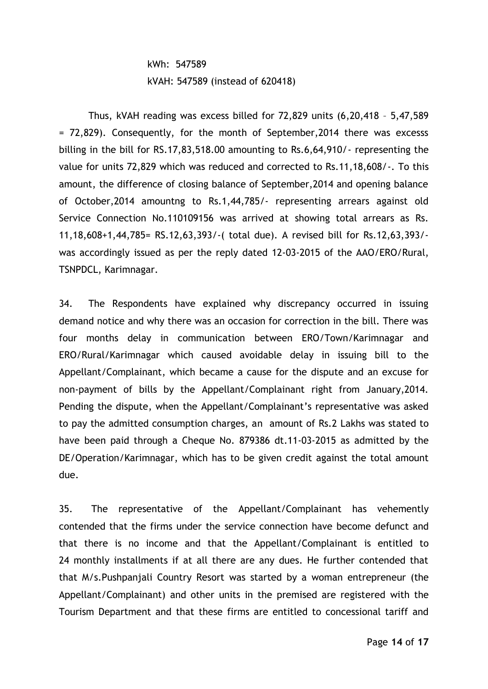# kWh: 547589 kVAH: 547589 (instead of 620418)

Thus, kVAH reading was excess billed for 72,829 units (6,20,418 – 5,47,589 = 72,829). Consequently, for the month of September,2014 there was excesss billing in the bill for RS.17,83,518.00 amounting to Rs.6,64,910/- representing the value for units 72,829 which was reduced and corrected to Rs.11,18,608/-. To this amount, the difference of closing balance of September,2014 and opening balance of October,2014 amountng to Rs.1,44,785/- representing arrears against old Service Connection No.110109156 was arrived at showing total arrears as Rs. 11,18,608+1,44,785= RS.12,63,393/-( total due). A revised bill for Rs.12,63,393/ was accordingly issued as per the reply dated 12-03-2015 of the AAO/ERO/Rural, TSNPDCL, Karimnagar.

34. The Respondents have explained why discrepancy occurred in issuing demand notice and why there was an occasion for correction in the bill. There was four months delay in communication between ERO/Town/Karimnagar and ERO/Rural/Karimnagar which caused avoidable delay in issuing bill to the Appellant/Complainant, which became a cause for the dispute and an excuse for non-payment of bills by the Appellant/Complainant right from January,2014. Pending the dispute, when the Appellant/Complainant's representative was asked to pay the admitted consumption charges, an amount of Rs.2 Lakhs was stated to have been paid through a Cheque No. 879386 dt.11-03-2015 as admitted by the DE/Operation/Karimnagar, which has to be given credit against the total amount due.

35. The representative of the Appellant/Complainant has vehemently contended that the firms under the service connection have become defunct and that there is no income and that the Appellant/Complainant is entitled to 24 monthly installments if at all there are any dues. He further contended that that M/s.Pushpanjali Country Resort was started by a woman entrepreneur (the Appellant/Complainant) and other units in the premised are registered with the Tourism Department and that these firms are entitled to concessional tariff and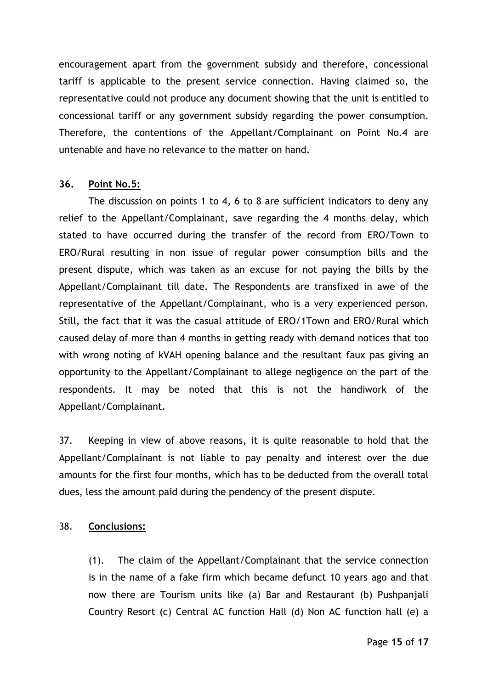encouragement apart from the government subsidy and therefore, concessional tariff is applicable to the present service connection. Having claimed so, the representative could not produce any document showing that the unit is entitled to concessional tariff or any government subsidy regarding the power consumption. Therefore, the contentions of the Appellant/Complainant on Point No.4 are untenable and have no relevance to the matter on hand.

#### **36. Point No.5:**

The discussion on points 1 to 4, 6 to 8 are sufficient indicators to deny any relief to the Appellant/Complainant, save regarding the 4 months delay, which stated to have occurred during the transfer of the record from ERO/Town to ERO/Rural resulting in non issue of regular power consumption bills and the present dispute, which was taken as an excuse for not paying the bills by the Appellant/Complainant till date. The Respondents are transfixed in awe of the representative of the Appellant/Complainant, who is a very experienced person. Still, the fact that it was the casual attitude of ERO/1Town and ERO/Rural which caused delay of more than 4 months in getting ready with demand notices that too with wrong noting of kVAH opening balance and the resultant faux pas giving an opportunity to the Appellant/Complainant to allege negligence on the part of the respondents. It may be noted that this is not the handiwork of the Appellant/Complainant.

37. Keeping in view of above reasons, it is quite reasonable to hold that the Appellant/Complainant is not liable to pay penalty and interest over the due amounts for the first four months, which has to be deducted from the overall total dues, less the amount paid during the pendency of the present dispute.

### 38. **Conclusions:**

(1). The claim of the Appellant/Complainant that the service connection is in the name of a fake firm which became defunct 10 years ago and that now there are Tourism units like (a) Bar and Restaurant (b) Pushpanjali Country Resort (c) Central AC function Hall (d) Non AC function hall (e) a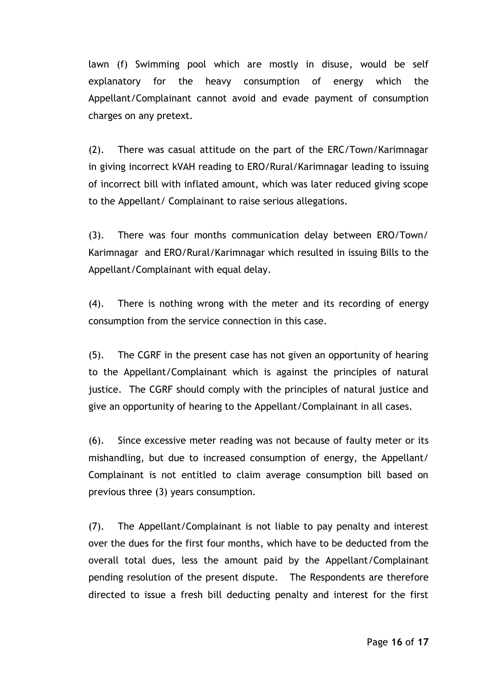lawn (f) Swimming pool which are mostly in disuse, would be self explanatory for the heavy consumption of energy which the Appellant/Complainant cannot avoid and evade payment of consumption charges on any pretext.

(2). There was casual attitude on the part of the ERC/Town/Karimnagar in giving incorrect kVAH reading to ERO/Rural/Karimnagar leading to issuing of incorrect bill with inflated amount, which was later reduced giving scope to the Appellant/ Complainant to raise serious allegations.

(3). There was four months communication delay between ERO/Town/ Karimnagar and ERO/Rural/Karimnagar which resulted in issuing Bills to the Appellant/Complainant with equal delay.

(4). There is nothing wrong with the meter and its recording of energy consumption from the service connection in this case.

(5). The CGRF in the present case has not given an opportunity of hearing to the Appellant/Complainant which is against the principles of natural justice. The CGRF should comply with the principles of natural justice and give an opportunity of hearing to the Appellant/Complainant in all cases.

(6). Since excessive meter reading was not because of faulty meter or its mishandling, but due to increased consumption of energy, the Appellant/ Complainant is not entitled to claim average consumption bill based on previous three (3) years consumption.

(7). The Appellant/Complainant is not liable to pay penalty and interest over the dues for the first four months, which have to be deducted from the overall total dues, less the amount paid by the Appellant/Complainant pending resolution of the present dispute. The Respondents are therefore directed to issue a fresh bill deducting penalty and interest for the first